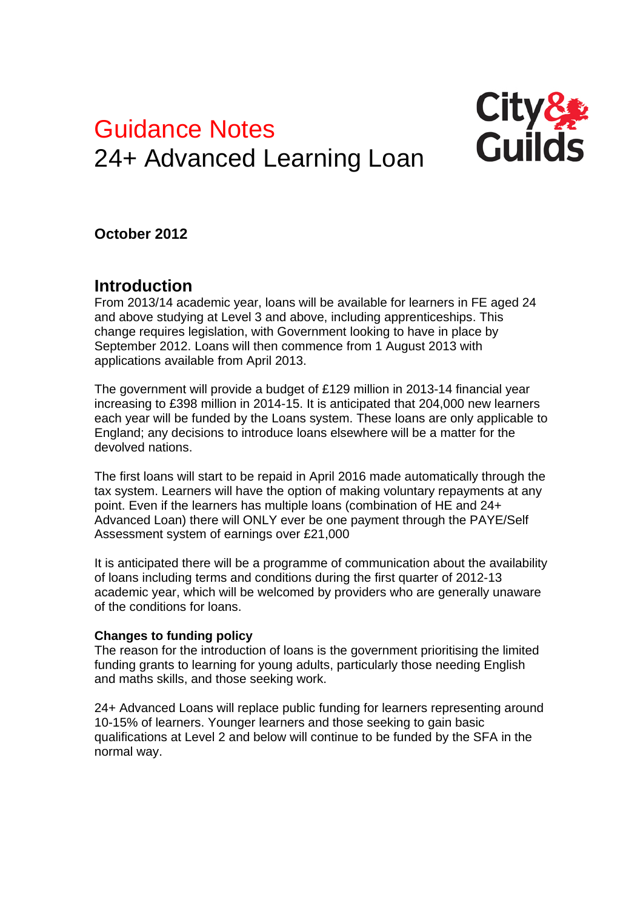# Guidance Notes 24+ Advanced Learning Loan



# **October 2012**

# **Introduction**

From 2013/14 academic year, loans will be available for learners in FE aged 24 and above studying at Level 3 and above, including apprenticeships. This change requires legislation, with Government looking to have in place by September 2012. Loans will then commence from 1 August 2013 with applications available from April 2013.

The government will provide a budget of £129 million in 2013-14 financial year increasing to £398 million in 2014-15. It is anticipated that 204,000 new learners each year will be funded by the Loans system. These loans are only applicable to England; any decisions to introduce loans elsewhere will be a matter for the devolved nations.

The first loans will start to be repaid in April 2016 made automatically through the tax system. Learners will have the option of making voluntary repayments at any point. Even if the learners has multiple loans (combination of HE and 24+ Advanced Loan) there will ONLY ever be one payment through the PAYE/Self Assessment system of earnings over £21,000

It is anticipated there will be a programme of communication about the availability of loans including terms and conditions during the first quarter of 2012-13 academic year, which will be welcomed by providers who are generally unaware of the conditions for loans.

# **Changes to funding policy**

The reason for the introduction of loans is the government prioritising the limited funding grants to learning for young adults, particularly those needing English and maths skills, and those seeking work.

24+ Advanced Loans will replace public funding for learners representing around 10-15% of learners. Younger learners and those seeking to gain basic qualifications at Level 2 and below will continue to be funded by the SFA in the normal way.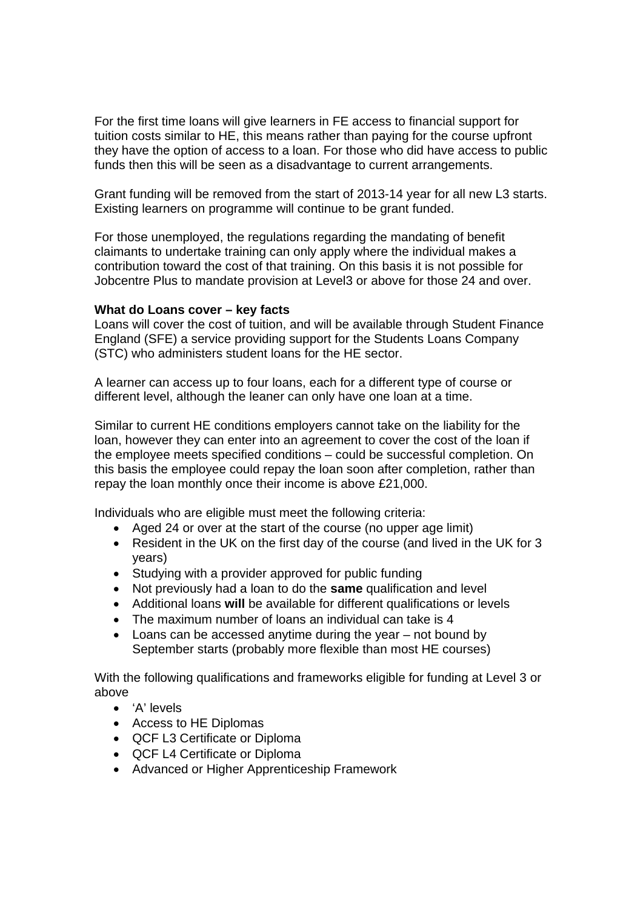For the first time loans will give learners in FE access to financial support for tuition costs similar to HE, this means rather than paying for the course upfront they have the option of access to a loan. For those who did have access to public funds then this will be seen as a disadvantage to current arrangements.

Grant funding will be removed from the start of 2013-14 year for all new L3 starts. Existing learners on programme will continue to be grant funded.

For those unemployed, the regulations regarding the mandating of benefit claimants to undertake training can only apply where the individual makes a contribution toward the cost of that training. On this basis it is not possible for Jobcentre Plus to mandate provision at Level3 or above for those 24 and over.

#### **What do Loans cover – key facts**

Loans will cover the cost of tuition, and will be available through Student Finance England (SFE) a service providing support for the Students Loans Company (STC) who administers student loans for the HE sector.

A learner can access up to four loans, each for a different type of course or different level, although the leaner can only have one loan at a time.

Similar to current HE conditions employers cannot take on the liability for the loan, however they can enter into an agreement to cover the cost of the loan if the employee meets specified conditions – could be successful completion. On this basis the employee could repay the loan soon after completion, rather than repay the loan monthly once their income is above £21,000.

Individuals who are eligible must meet the following criteria:

- Aged 24 or over at the start of the course (no upper age limit)
- Resident in the UK on the first day of the course (and lived in the UK for 3 years)
- Studying with a provider approved for public funding
- Not previously had a loan to do the **same** qualification and level
- Additional loans **will** be available for different qualifications or levels
- The maximum number of loans an individual can take is 4
- Loans can be accessed anytime during the year not bound by September starts (probably more flexible than most HE courses)

With the following qualifications and frameworks eligible for funding at Level 3 or above

- 'A' levels
- Access to HE Diplomas
- QCF L3 Certificate or Diploma
- QCF L4 Certificate or Diploma
- Advanced or Higher Apprenticeship Framework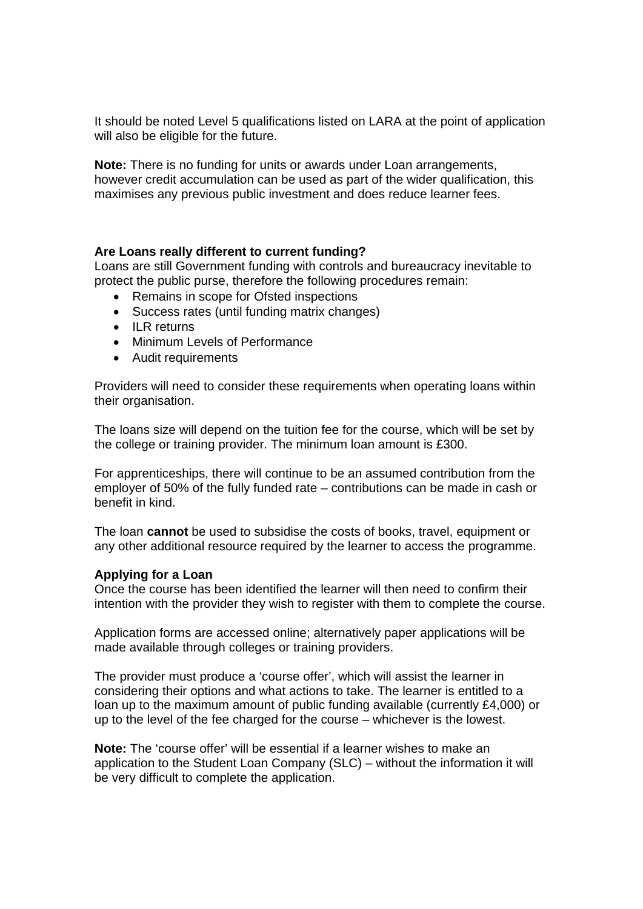It should be noted Level 5 qualifications listed on LARA at the point of application will also be eligible for the future.

**Note:** There is no funding for units or awards under Loan arrangements, however credit accumulation can be used as part of the wider qualification, this maximises any previous public investment and does reduce learner fees.

#### **Are Loans really different to current funding?**

Loans are still Government funding with controls and bureaucracy inevitable to protect the public purse, therefore the following procedures remain:

- Remains in scope for Ofsted inspections
- Success rates (until funding matrix changes)
- $\bullet$  ILR returns
- Minimum Levels of Performance
- Audit requirements

Providers will need to consider these requirements when operating loans within their organisation.

The loans size will depend on the tuition fee for the course, which will be set by the college or training provider. The minimum loan amount is £300.

For apprenticeships, there will continue to be an assumed contribution from the employer of 50% of the fully funded rate – contributions can be made in cash or benefit in kind.

The loan **cannot** be used to subsidise the costs of books, travel, equipment or any other additional resource required by the learner to access the programme.

#### **Applying for a Loan**

Once the course has been identified the learner will then need to confirm their intention with the provider they wish to register with them to complete the course.

Application forms are accessed online; alternatively paper applications will be made available through colleges or training providers.

The provider must produce a 'course offer', which will assist the learner in considering their options and what actions to take. The learner is entitled to a loan up to the maximum amount of public funding available (currently £4,000) or up to the level of the fee charged for the course – whichever is the lowest.

**Note:** The 'course offer' will be essential if a learner wishes to make an application to the Student Loan Company (SLC) – without the information it will be very difficult to complete the application.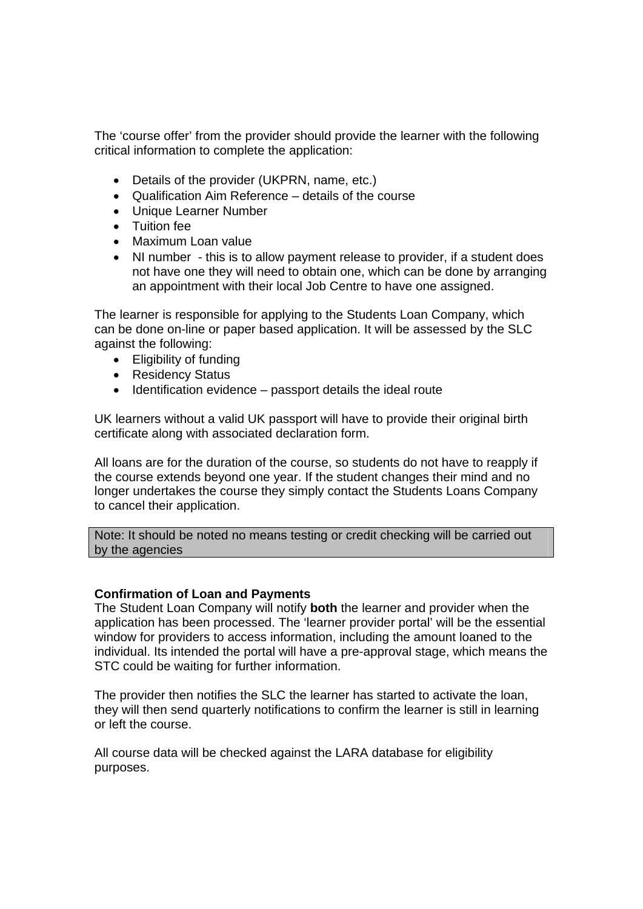The 'course offer' from the provider should provide the learner with the following critical information to complete the application:

- Details of the provider (UKPRN, name, etc.)
- Qualification Aim Reference details of the course
- Unique Learner Number
- Tuition fee
- Maximum Loan value
- NI number this is to allow payment release to provider, if a student does not have one they will need to obtain one, which can be done by arranging an appointment with their local Job Centre to have one assigned.

The learner is responsible for applying to the Students Loan Company, which can be done on-line or paper based application. It will be assessed by the SLC against the following:

- Eligibility of funding
- Residency Status
- $\bullet$  Identification evidence passport details the ideal route

UK learners without a valid UK passport will have to provide their original birth certificate along with associated declaration form.

All loans are for the duration of the course, so students do not have to reapply if the course extends beyond one year. If the student changes their mind and no longer undertakes the course they simply contact the Students Loans Company to cancel their application.

Note: It should be noted no means testing or credit checking will be carried out by the agencies

#### **Confirmation of Loan and Payments**

The Student Loan Company will notify **both** the learner and provider when the application has been processed. The 'learner provider portal' will be the essential window for providers to access information, including the amount loaned to the individual. Its intended the portal will have a pre-approval stage, which means the STC could be waiting for further information.

The provider then notifies the SLC the learner has started to activate the loan, they will then send quarterly notifications to confirm the learner is still in learning or left the course.

All course data will be checked against the LARA database for eligibility purposes.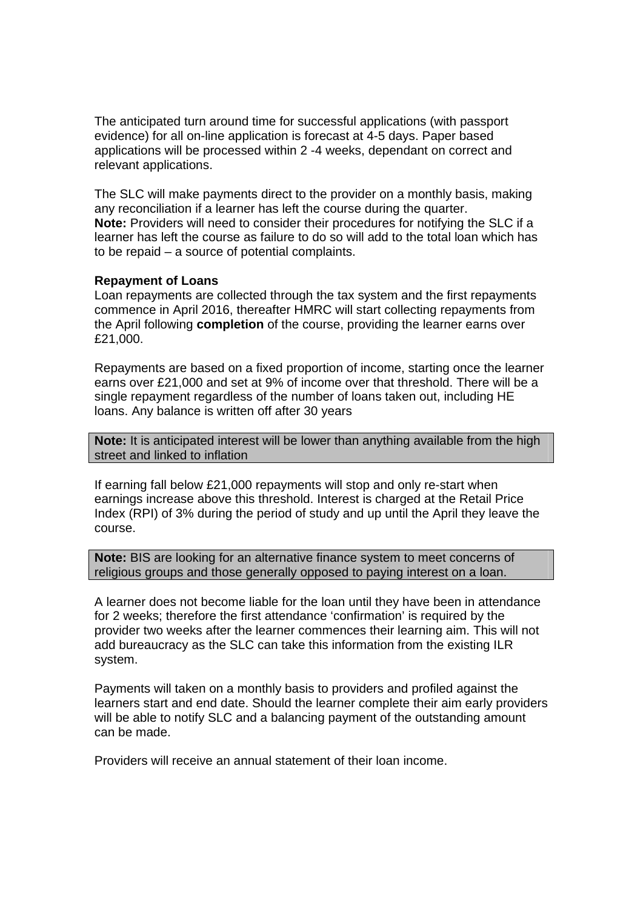The anticipated turn around time for successful applications (with passport evidence) for all on-line application is forecast at 4-5 days. Paper based applications will be processed within 2 -4 weeks, dependant on correct and relevant applications.

The SLC will make payments direct to the provider on a monthly basis, making any reconciliation if a learner has left the course during the quarter. **Note:** Providers will need to consider their procedures for notifying the SLC if a learner has left the course as failure to do so will add to the total loan which has to be repaid – a source of potential complaints.

#### **Repayment of Loans**

Loan repayments are collected through the tax system and the first repayments commence in April 2016, thereafter HMRC will start collecting repayments from the April following **completion** of the course, providing the learner earns over £21,000.

Repayments are based on a fixed proportion of income, starting once the learner earns over £21,000 and set at 9% of income over that threshold. There will be a single repayment regardless of the number of loans taken out, including HE loans. Any balance is written off after 30 years

**Note:** It is anticipated interest will be lower than anything available from the high street and linked to inflation

If earning fall below £21,000 repayments will stop and only re-start when earnings increase above this threshold. Interest is charged at the Retail Price Index (RPI) of 3% during the period of study and up until the April they leave the course.

**Note:** BIS are looking for an alternative finance system to meet concerns of religious groups and those generally opposed to paying interest on a loan.

A learner does not become liable for the loan until they have been in attendance for 2 weeks; therefore the first attendance 'confirmation' is required by the provider two weeks after the learner commences their learning aim. This will not add bureaucracy as the SLC can take this information from the existing ILR system.

Payments will taken on a monthly basis to providers and profiled against the learners start and end date. Should the learner complete their aim early providers will be able to notify SLC and a balancing payment of the outstanding amount can be made.

Providers will receive an annual statement of their loan income.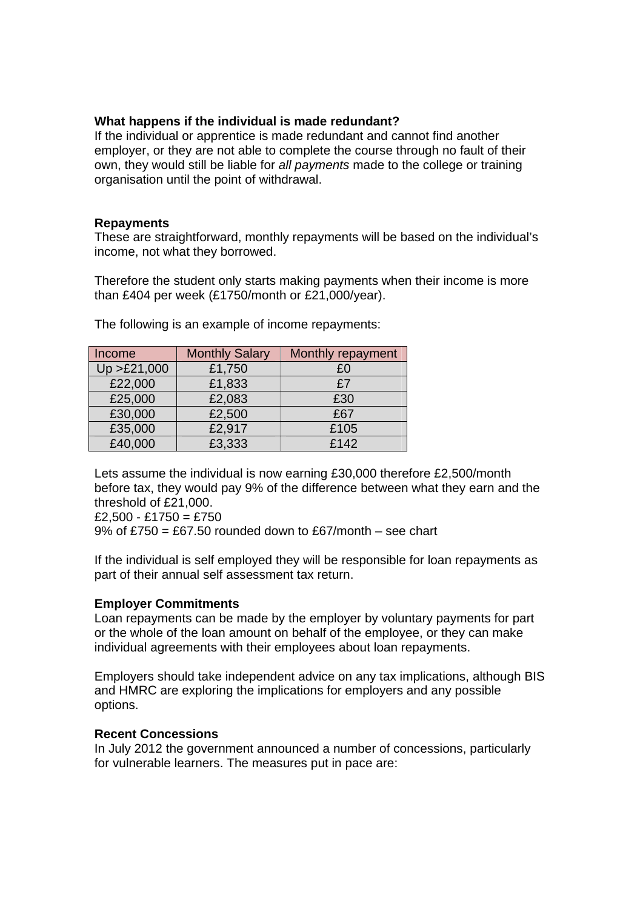#### **What happens if the individual is made redundant?**

If the individual or apprentice is made redundant and cannot find another employer, or they are not able to complete the course through no fault of their own, they would still be liable for *all payments* made to the college or training organisation until the point of withdrawal.

#### **Repayments**

These are straightforward, monthly repayments will be based on the individual's income, not what they borrowed.

Therefore the student only starts making payments when their income is more than £404 per week (£1750/month or £21,000/year).

| Income       | <b>Monthly Salary</b> | Monthly repayment |
|--------------|-----------------------|-------------------|
| Up > £21,000 | £1,750                | £0                |
| £22,000      | £1,833                | £7                |
| £25,000      | £2,083                | £30               |
| £30,000      | £2,500                | £67               |
| £35,000      | £2,917                | £105              |
| £40,000      | £3,333                | £142              |

The following is an example of income repayments:

Lets assume the individual is now earning £30,000 therefore £2,500/month before tax, they would pay 9% of the difference between what they earn and the threshold of £21,000.

 $£2,500 - £1750 = £750$ 9% of £750 = £67.50 rounded down to £67/month – see chart

If the individual is self employed they will be responsible for loan repayments as part of their annual self assessment tax return.

# **Employer Commitments**

Loan repayments can be made by the employer by voluntary payments for part or the whole of the loan amount on behalf of the employee, or they can make individual agreements with their employees about loan repayments.

Employers should take independent advice on any tax implications, although BIS and HMRC are exploring the implications for employers and any possible options.

# **Recent Concessions**

In July 2012 the government announced a number of concessions, particularly for vulnerable learners. The measures put in pace are: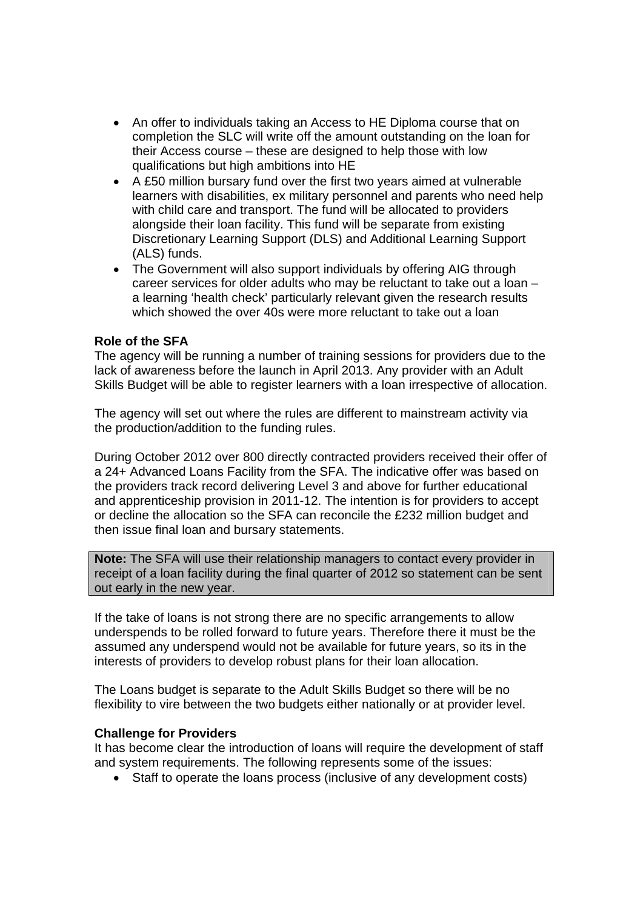- An offer to individuals taking an Access to HE Diploma course that on completion the SLC will write off the amount outstanding on the loan for their Access course – these are designed to help those with low qualifications but high ambitions into HE
- A £50 million bursary fund over the first two years aimed at vulnerable learners with disabilities, ex military personnel and parents who need help with child care and transport. The fund will be allocated to providers alongside their loan facility. This fund will be separate from existing Discretionary Learning Support (DLS) and Additional Learning Support (ALS) funds.
- The Government will also support individuals by offering AIG through career services for older adults who may be reluctant to take out a loan – a learning 'health check' particularly relevant given the research results which showed the over 40s were more reluctant to take out a loan

## **Role of the SFA**

The agency will be running a number of training sessions for providers due to the lack of awareness before the launch in April 2013. Any provider with an Adult Skills Budget will be able to register learners with a loan irrespective of allocation.

The agency will set out where the rules are different to mainstream activity via the production/addition to the funding rules.

During October 2012 over 800 directly contracted providers received their offer of a 24+ Advanced Loans Facility from the SFA. The indicative offer was based on the providers track record delivering Level 3 and above for further educational and apprenticeship provision in 2011-12. The intention is for providers to accept or decline the allocation so the SFA can reconcile the £232 million budget and then issue final loan and bursary statements.

**Note:** The SFA will use their relationship managers to contact every provider in receipt of a loan facility during the final quarter of 2012 so statement can be sent out early in the new year.

If the take of loans is not strong there are no specific arrangements to allow underspends to be rolled forward to future years. Therefore there it must be the assumed any underspend would not be available for future years, so its in the interests of providers to develop robust plans for their loan allocation.

The Loans budget is separate to the Adult Skills Budget so there will be no flexibility to vire between the two budgets either nationally or at provider level.

#### **Challenge for Providers**

It has become clear the introduction of loans will require the development of staff and system requirements. The following represents some of the issues:

Staff to operate the loans process (inclusive of any development costs)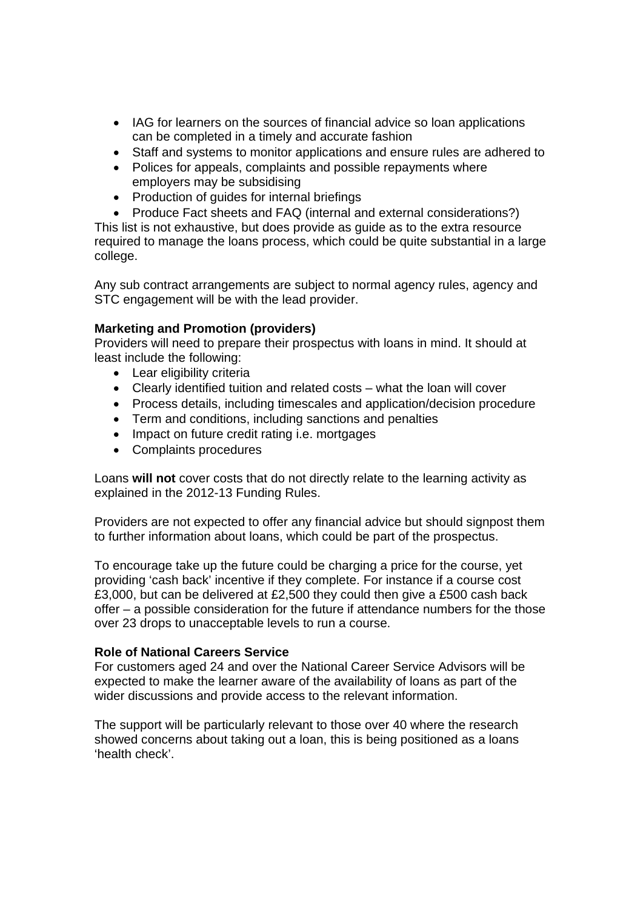- IAG for learners on the sources of financial advice so loan applications can be completed in a timely and accurate fashion
- Staff and systems to monitor applications and ensure rules are adhered to
- Polices for appeals, complaints and possible repayments where employers may be subsidising
- Production of quides for internal briefings
- Produce Fact sheets and FAQ (internal and external considerations?)

This list is not exhaustive, but does provide as guide as to the extra resource required to manage the loans process, which could be quite substantial in a large college.

Any sub contract arrangements are subject to normal agency rules, agency and STC engagement will be with the lead provider.

## **Marketing and Promotion (providers)**

Providers will need to prepare their prospectus with loans in mind. It should at least include the following:

- Lear eligibility criteria
- Clearly identified tuition and related costs what the loan will cover
- Process details, including timescales and application/decision procedure
- Term and conditions, including sanctions and penalties
- Impact on future credit rating i.e. mortgages
- Complaints procedures

Loans **will not** cover costs that do not directly relate to the learning activity as explained in the 2012-13 Funding Rules.

Providers are not expected to offer any financial advice but should signpost them to further information about loans, which could be part of the prospectus.

To encourage take up the future could be charging a price for the course, yet providing 'cash back' incentive if they complete. For instance if a course cost £3,000, but can be delivered at £2,500 they could then give a £500 cash back offer – a possible consideration for the future if attendance numbers for the those over 23 drops to unacceptable levels to run a course.

#### **Role of National Careers Service**

For customers aged 24 and over the National Career Service Advisors will be expected to make the learner aware of the availability of loans as part of the wider discussions and provide access to the relevant information.

The support will be particularly relevant to those over 40 where the research showed concerns about taking out a loan, this is being positioned as a loans 'health check'.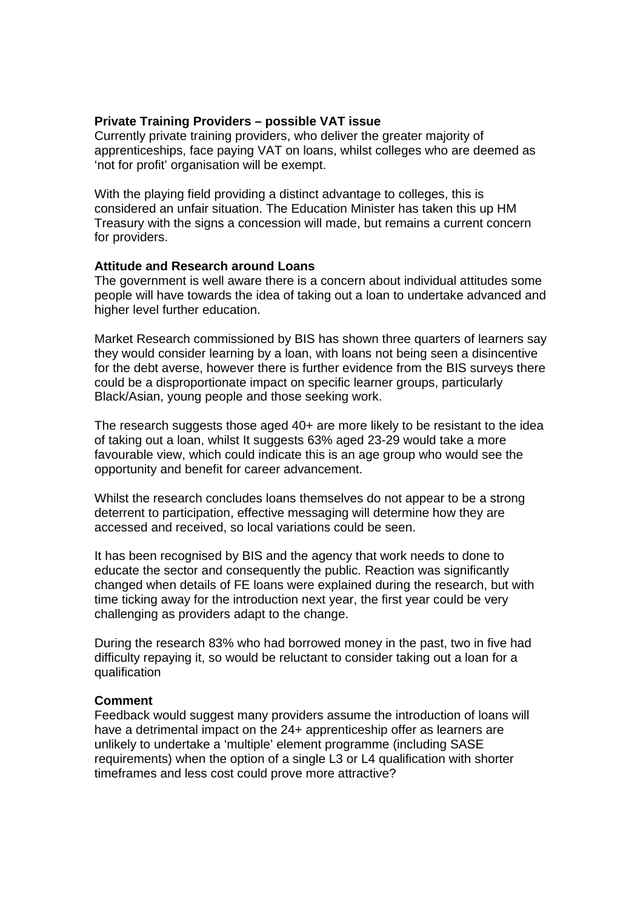#### **Private Training Providers – possible VAT issue**

Currently private training providers, who deliver the greater majority of apprenticeships, face paying VAT on loans, whilst colleges who are deemed as 'not for profit' organisation will be exempt.

With the playing field providing a distinct advantage to colleges, this is considered an unfair situation. The Education Minister has taken this up HM Treasury with the signs a concession will made, but remains a current concern for providers.

#### **Attitude and Research around Loans**

The government is well aware there is a concern about individual attitudes some people will have towards the idea of taking out a loan to undertake advanced and higher level further education.

Market Research commissioned by BIS has shown three quarters of learners say they would consider learning by a loan, with loans not being seen a disincentive for the debt averse, however there is further evidence from the BIS surveys there could be a disproportionate impact on specific learner groups, particularly Black/Asian, young people and those seeking work.

The research suggests those aged 40+ are more likely to be resistant to the idea of taking out a loan, whilst It suggests 63% aged 23-29 would take a more favourable view, which could indicate this is an age group who would see the opportunity and benefit for career advancement.

Whilst the research concludes loans themselves do not appear to be a strong deterrent to participation, effective messaging will determine how they are accessed and received, so local variations could be seen.

It has been recognised by BIS and the agency that work needs to done to educate the sector and consequently the public. Reaction was significantly changed when details of FE loans were explained during the research, but with time ticking away for the introduction next year, the first year could be very challenging as providers adapt to the change.

During the research 83% who had borrowed money in the past, two in five had difficulty repaying it, so would be reluctant to consider taking out a loan for a qualification

#### **Comment**

Feedback would suggest many providers assume the introduction of loans will have a detrimental impact on the 24+ apprenticeship offer as learners are unlikely to undertake a 'multiple' element programme (including SASE requirements) when the option of a single L3 or L4 qualification with shorter timeframes and less cost could prove more attractive?